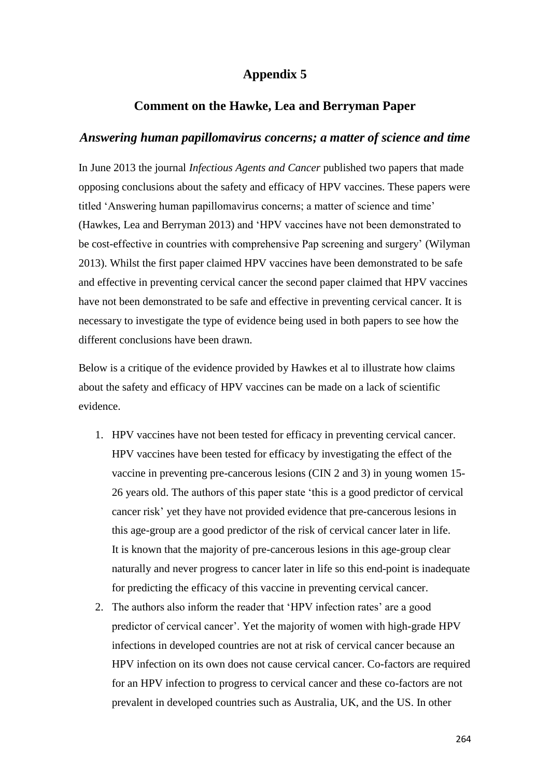## **Appendix 5**

## **Comment on the Hawke, Lea and Berryman Paper**

## *Answering human papillomavirus concerns; a matter of science and time*

In June 2013 the journal *Infectious Agents and Cancer* published two papers that made opposing conclusions about the safety and efficacy of HPV vaccines. These papers were titled 'Answering human papillomavirus concerns; a matter of science and time' (Hawkes, Lea and Berryman 2013) and 'HPV vaccines have not been demonstrated to be cost-effective in countries with comprehensive Pap screening and surgery' (Wilyman 2013). Whilst the first paper claimed HPV vaccines have been demonstrated to be safe and effective in preventing cervical cancer the second paper claimed that HPV vaccines have not been demonstrated to be safe and effective in preventing cervical cancer. It is necessary to investigate the type of evidence being used in both papers to see how the different conclusions have been drawn.

Below is a critique of the evidence provided by Hawkes et al to illustrate how claims about the safety and efficacy of HPV vaccines can be made on a lack of scientific evidence.

- 1. HPV vaccines have not been tested for efficacy in preventing cervical cancer. HPV vaccines have been tested for efficacy by investigating the effect of the vaccine in preventing pre-cancerous lesions (CIN 2 and 3) in young women 15- 26 years old. The authors of this paper state 'this is a good predictor of cervical cancer risk' yet they have not provided evidence that pre-cancerous lesions in this age-group are a good predictor of the risk of cervical cancer later in life. It is known that the majority of pre-cancerous lesions in this age-group clear naturally and never progress to cancer later in life so this end-point is inadequate for predicting the efficacy of this vaccine in preventing cervical cancer.
- 2. The authors also inform the reader that 'HPV infection rates' are a good predictor of cervical cancer'. Yet the majority of women with high-grade HPV infections in developed countries are not at risk of cervical cancer because an HPV infection on its own does not cause cervical cancer. Co-factors are required for an HPV infection to progress to cervical cancer and these co-factors are not prevalent in developed countries such as Australia, UK, and the US. In other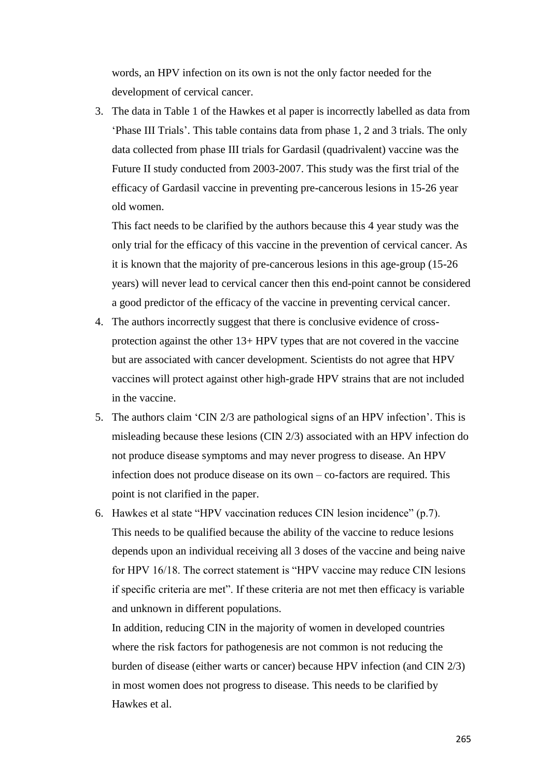words, an HPV infection on its own is not the only factor needed for the development of cervical cancer.

3. The data in Table 1 of the Hawkes et al paper is incorrectly labelled as data from 'Phase III Trials'. This table contains data from phase 1, 2 and 3 trials. The only data collected from phase III trials for Gardasil (quadrivalent) vaccine was the Future II study conducted from 2003-2007. This study was the first trial of the efficacy of Gardasil vaccine in preventing pre-cancerous lesions in 15-26 year old women.

This fact needs to be clarified by the authors because this 4 year study was the only trial for the efficacy of this vaccine in the prevention of cervical cancer. As it is known that the majority of pre-cancerous lesions in this age-group (15-26 years) will never lead to cervical cancer then this end-point cannot be considered a good predictor of the efficacy of the vaccine in preventing cervical cancer.

- 4. The authors incorrectly suggest that there is conclusive evidence of crossprotection against the other 13+ HPV types that are not covered in the vaccine but are associated with cancer development. Scientists do not agree that HPV vaccines will protect against other high-grade HPV strains that are not included in the vaccine.
- 5. The authors claim 'CIN 2/3 are pathological signs of an HPV infection'. This is misleading because these lesions (CIN 2/3) associated with an HPV infection do not produce disease symptoms and may never progress to disease. An HPV infection does not produce disease on its own – co-factors are required. This point is not clarified in the paper.
- 6. Hawkes et al state "HPV vaccination reduces CIN lesion incidence" (p.7). This needs to be qualified because the ability of the vaccine to reduce lesions depends upon an individual receiving all 3 doses of the vaccine and being naive for HPV 16/18. The correct statement is "HPV vaccine may reduce CIN lesions if specific criteria are met". If these criteria are not met then efficacy is variable and unknown in different populations.

In addition, reducing CIN in the majority of women in developed countries where the risk factors for pathogenesis are not common is not reducing the burden of disease (either warts or cancer) because HPV infection (and CIN 2/3) in most women does not progress to disease. This needs to be clarified by Hawkes et al.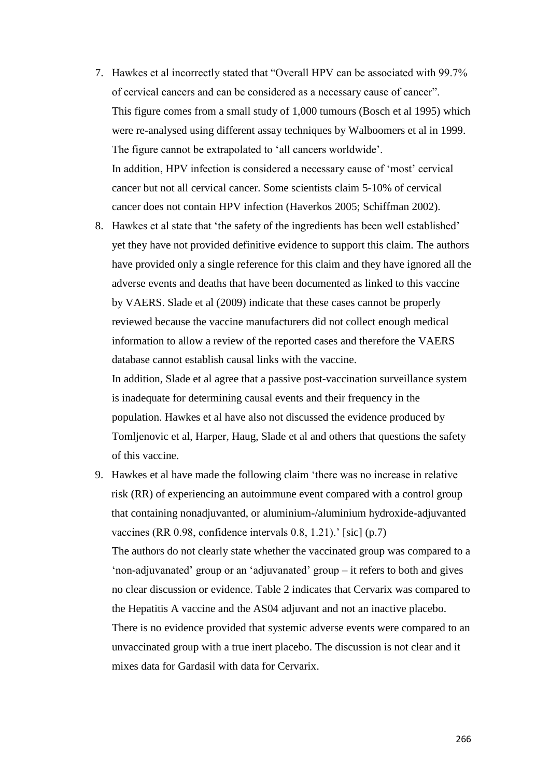- 7. Hawkes et al incorrectly stated that "Overall HPV can be associated with 99.7% of cervical cancers and can be considered as a necessary cause of cancer". This figure comes from a small study of 1,000 tumours (Bosch et al 1995) which were re-analysed using different assay techniques by Walboomers et al in 1999. The figure cannot be extrapolated to 'all cancers worldwide'. In addition, HPV infection is considered a necessary cause of 'most' cervical cancer but not all cervical cancer. Some scientists claim 5-10% of cervical cancer does not contain HPV infection (Haverkos 2005; Schiffman 2002).
- 8. Hawkes et al state that 'the safety of the ingredients has been well established' yet they have not provided definitive evidence to support this claim*.* The authors have provided only a single reference for this claim and they have ignored all the adverse events and deaths that have been documented as linked to this vaccine by VAERS. Slade et al (2009) indicate that these cases cannot be properly reviewed because the vaccine manufacturers did not collect enough medical information to allow a review of the reported cases and therefore the VAERS database cannot establish causal links with the vaccine.

In addition, Slade et al agree that a passive post-vaccination surveillance system is inadequate for determining causal events and their frequency in the population. Hawkes et al have also not discussed the evidence produced by Tomljenovic et al, Harper, Haug, Slade et al and others that questions the safety of this vaccine.

9. Hawkes et al have made the following claim 'there was no increase in relative risk (RR) of experiencing an autoimmune event compared with a control group that containing nonadjuvanted, or aluminium-/aluminium hydroxide-adjuvanted vaccines (RR 0.98, confidence intervals 0.8, 1.21).' [sic] (p.7) The authors do not clearly state whether the vaccinated group was compared to a 'non-adjuvanated' group or an 'adjuvanated' group – it refers to both and gives no clear discussion or evidence. Table 2 indicates that Cervarix was compared to the Hepatitis A vaccine and the AS04 adjuvant and not an inactive placebo. There is no evidence provided that systemic adverse events were compared to an unvaccinated group with a true inert placebo. The discussion is not clear and it mixes data for Gardasil with data for Cervarix.